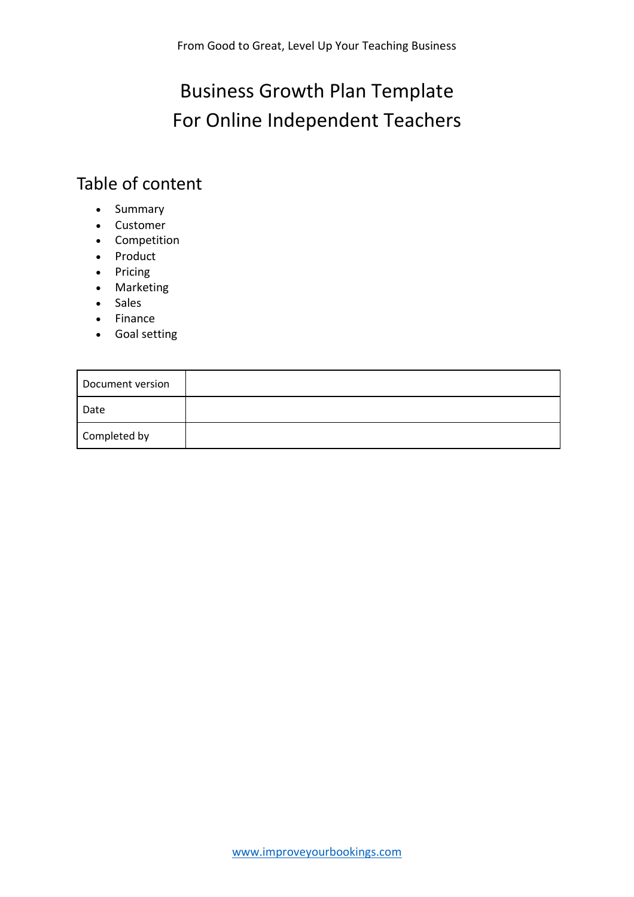## Business Growth Plan Template For Online Independent Teachers

## Table of content

- Summary
- Customer
- Competition
- Product
- Pricing
- Marketing
- Sales
- Finance
- Goal setting

| Document version |  |
|------------------|--|
| Date             |  |
| Completed by     |  |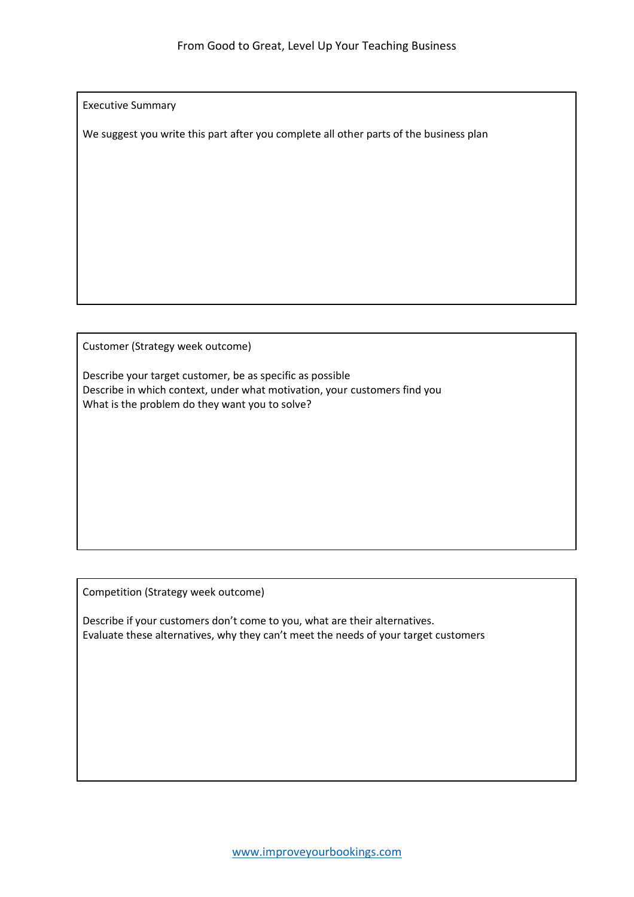Executive Summary

We suggest you write this part after you complete all other parts of the business plan

Customer (Strategy week outcome)

Describe your target customer, be as specific as possible Describe in which context, under what motivation, your customers find you What is the problem do they want you to solve?

Competition (Strategy week outcome)

Describe if your customers don't come to you, what are their alternatives. Evaluate these alternatives, why they can't meet the needs of your target customers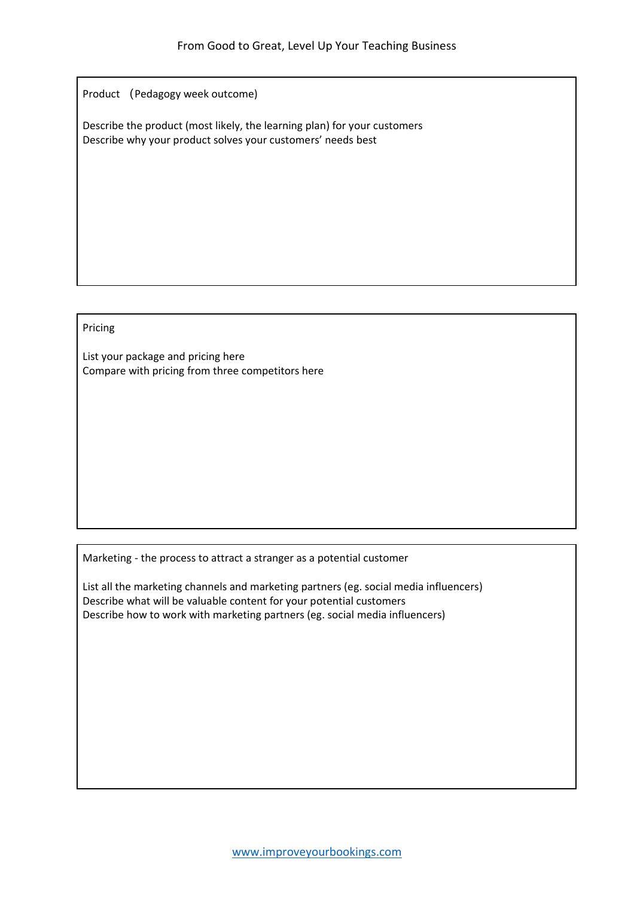Product (Pedagogy week outcome)

Describe the product (most likely, the learning plan) for your customers Describe why your product solves your customers' needs best

## Pricing

List your package and pricing here Compare with pricing from three competitors here

Marketing - the process to attract a stranger as a potential customer

List all the marketing channels and marketing partners (eg. social media influencers) Describe what will be valuable content for your potential customers Describe how to work with marketing partners (eg. social media influencers)